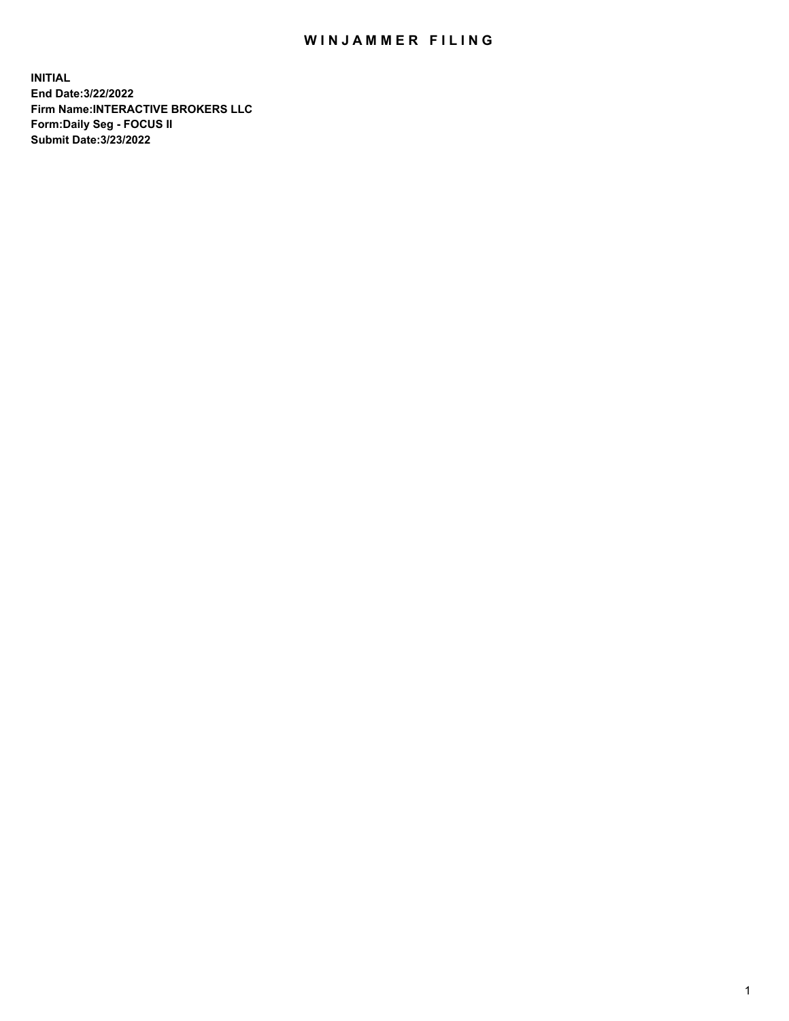## WIN JAMMER FILING

**INITIAL End Date:3/22/2022 Firm Name:INTERACTIVE BROKERS LLC Form:Daily Seg - FOCUS II Submit Date:3/23/2022**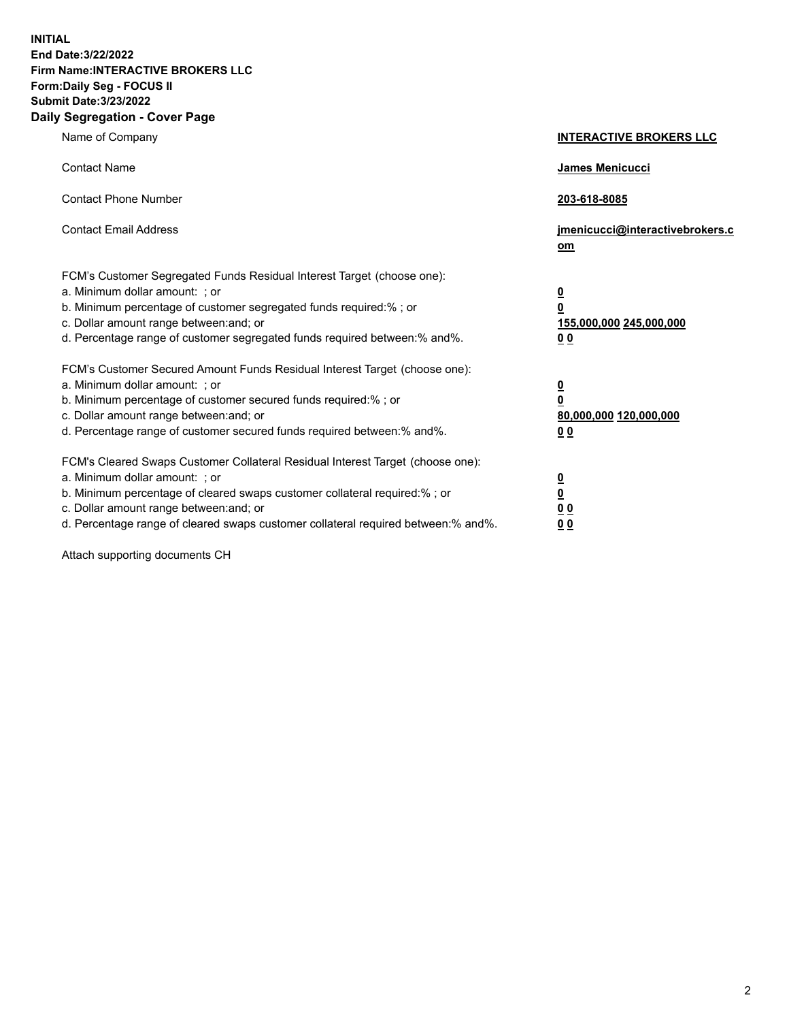**INITIAL End Date:3/22/2022 Firm Name:INTERACTIVE BROKERS LLC Form:Daily Seg - FOCUS II Submit Date:3/23/2022 Daily Segregation - Cover Page**

| Name of Company                                                                                                                                                                                                                                                                                                                | <b>INTERACTIVE BROKERS LLC</b>                                                                  |
|--------------------------------------------------------------------------------------------------------------------------------------------------------------------------------------------------------------------------------------------------------------------------------------------------------------------------------|-------------------------------------------------------------------------------------------------|
| <b>Contact Name</b>                                                                                                                                                                                                                                                                                                            | James Menicucci                                                                                 |
| <b>Contact Phone Number</b>                                                                                                                                                                                                                                                                                                    | 203-618-8085                                                                                    |
| <b>Contact Email Address</b>                                                                                                                                                                                                                                                                                                   | jmenicucci@interactivebrokers.c<br>$om$                                                         |
| FCM's Customer Segregated Funds Residual Interest Target (choose one):<br>a. Minimum dollar amount: ; or<br>b. Minimum percentage of customer segregated funds required:% ; or<br>c. Dollar amount range between: and; or<br>d. Percentage range of customer segregated funds required between:% and%.                         | $\overline{\mathbf{0}}$<br>$\overline{\mathbf{0}}$<br>155,000,000 245,000,000<br>0 <sub>0</sub> |
| FCM's Customer Secured Amount Funds Residual Interest Target (choose one):<br>a. Minimum dollar amount: ; or<br>b. Minimum percentage of customer secured funds required:% ; or<br>c. Dollar amount range between: and; or<br>d. Percentage range of customer secured funds required between:% and%.                           | $\overline{\mathbf{0}}$<br>$\overline{\mathbf{0}}$<br>80,000,000 120,000,000<br>0 <sub>0</sub>  |
| FCM's Cleared Swaps Customer Collateral Residual Interest Target (choose one):<br>a. Minimum dollar amount: ; or<br>b. Minimum percentage of cleared swaps customer collateral required:% ; or<br>c. Dollar amount range between: and; or<br>d. Percentage range of cleared swaps customer collateral required between:% and%. | $\overline{\mathbf{0}}$<br>$\overline{\mathbf{0}}$<br>0 <sub>0</sub><br>0 <sub>0</sub>          |

Attach supporting documents CH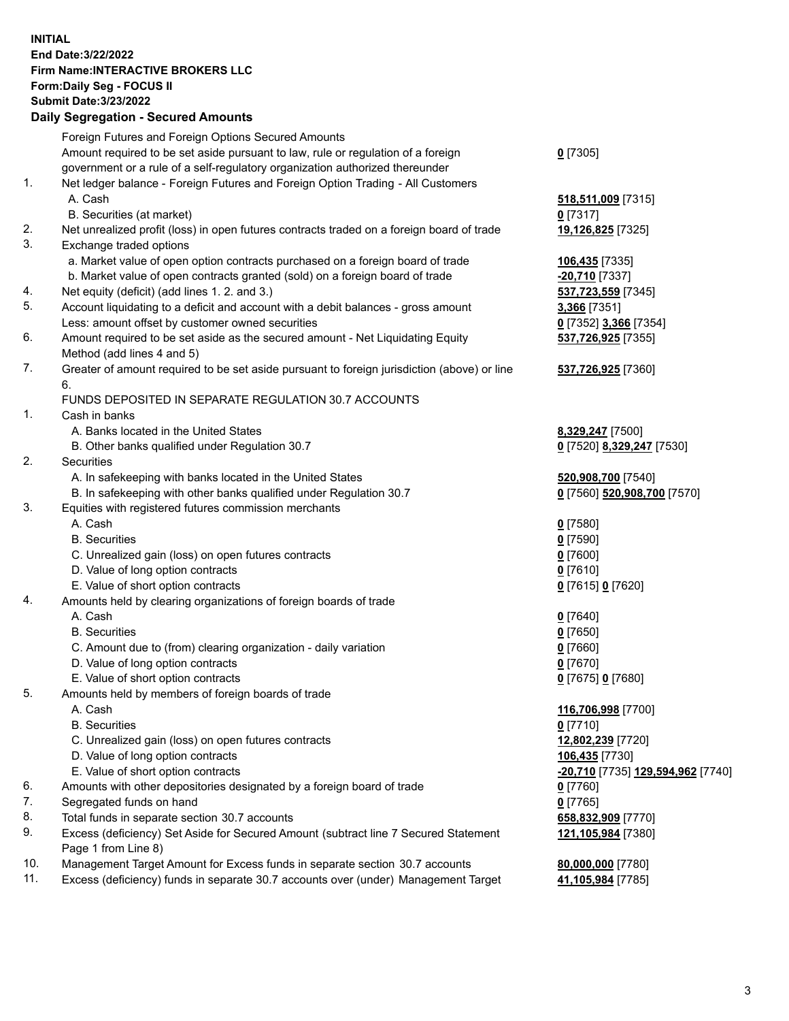**INITIAL End Date:3/22/2022 Firm Name:INTERACTIVE BROKERS LLC Form:Daily Seg - FOCUS II Submit Date:3/23/2022 Daily Segregation - Secured Amounts**

|                | Dany Ocgregation - Oceanea Anioante                                                               |                                   |
|----------------|---------------------------------------------------------------------------------------------------|-----------------------------------|
|                | Foreign Futures and Foreign Options Secured Amounts                                               |                                   |
|                | Amount required to be set aside pursuant to law, rule or regulation of a foreign                  | $0$ [7305]                        |
|                | government or a rule of a self-regulatory organization authorized thereunder                      |                                   |
| $\mathbf{1}$ . | Net ledger balance - Foreign Futures and Foreign Option Trading - All Customers                   |                                   |
|                | A. Cash                                                                                           | 518,511,009 [7315]                |
|                | B. Securities (at market)                                                                         | $0$ [7317]                        |
| 2.             | Net unrealized profit (loss) in open futures contracts traded on a foreign board of trade         | 19,126,825 [7325]                 |
| 3.             | Exchange traded options                                                                           |                                   |
|                | a. Market value of open option contracts purchased on a foreign board of trade                    | 106,435 [7335]                    |
|                | b. Market value of open contracts granted (sold) on a foreign board of trade                      | -20,710 [7337]                    |
| 4.             | Net equity (deficit) (add lines 1. 2. and 3.)                                                     | 537,723,559 [7345]                |
| 5.             | Account liquidating to a deficit and account with a debit balances - gross amount                 | 3,366 [7351]                      |
|                | Less: amount offset by customer owned securities                                                  | 0 [7352] 3,366 [7354]             |
| 6.             | Amount required to be set aside as the secured amount - Net Liquidating Equity                    | 537,726,925 [7355]                |
|                | Method (add lines 4 and 5)                                                                        |                                   |
| 7.             | Greater of amount required to be set aside pursuant to foreign jurisdiction (above) or line<br>6. | 537,726,925 [7360]                |
|                | FUNDS DEPOSITED IN SEPARATE REGULATION 30.7 ACCOUNTS                                              |                                   |
| $\mathbf{1}$ . | Cash in banks                                                                                     |                                   |
|                | A. Banks located in the United States                                                             | 8,329,247 [7500]                  |
|                | B. Other banks qualified under Regulation 30.7                                                    | 0 [7520] 8,329,247 [7530]         |
| 2.             | <b>Securities</b>                                                                                 |                                   |
|                | A. In safekeeping with banks located in the United States                                         | 520,908,700 [7540]                |
|                | B. In safekeeping with other banks qualified under Regulation 30.7                                | 0 [7560] 520,908,700 [7570]       |
| 3.             | Equities with registered futures commission merchants                                             |                                   |
|                | A. Cash                                                                                           | $Q$ [7580]                        |
|                | <b>B.</b> Securities                                                                              | $0$ [7590]                        |
|                | C. Unrealized gain (loss) on open futures contracts                                               | $0$ [7600]                        |
|                | D. Value of long option contracts                                                                 | $0$ [7610]                        |
|                | E. Value of short option contracts                                                                | 0 [7615] 0 [7620]                 |
| 4.             | Amounts held by clearing organizations of foreign boards of trade                                 |                                   |
|                | A. Cash                                                                                           | $Q$ [7640]                        |
|                | <b>B.</b> Securities                                                                              | $0$ [7650]                        |
|                | C. Amount due to (from) clearing organization - daily variation                                   | $0$ [7660]                        |
|                | D. Value of long option contracts                                                                 | $0$ [7670]                        |
|                | E. Value of short option contracts                                                                | 0 [7675] 0 [7680]                 |
| 5.             | Amounts held by members of foreign boards of trade                                                |                                   |
|                | A. Cash                                                                                           | 116,706,998 [7700]                |
|                | <b>B.</b> Securities                                                                              | $0$ [7710]                        |
|                | C. Unrealized gain (loss) on open futures contracts                                               | 12,802,239 [7720]                 |
|                | D. Value of long option contracts                                                                 | 106,435 [7730]                    |
|                | E. Value of short option contracts                                                                | -20,710 [7735] 129,594,962 [7740] |
| 6.             | Amounts with other depositories designated by a foreign board of trade                            | $0$ [7760]                        |
| 7.             | Segregated funds on hand                                                                          | $0$ [7765]                        |
| 8.             | Total funds in separate section 30.7 accounts                                                     | 658,832,909 [7770]                |
| 9.             | Excess (deficiency) Set Aside for Secured Amount (subtract line 7 Secured Statement               | 121,105,984 [7380]                |
|                | Page 1 from Line 8)                                                                               |                                   |
| 10.            | Management Target Amount for Excess funds in separate section 30.7 accounts                       | 80,000,000 [7780]                 |
| 11.            | Excess (deficiency) funds in separate 30.7 accounts over (under) Management Target                | 41,105,984 [7785]                 |
|                |                                                                                                   |                                   |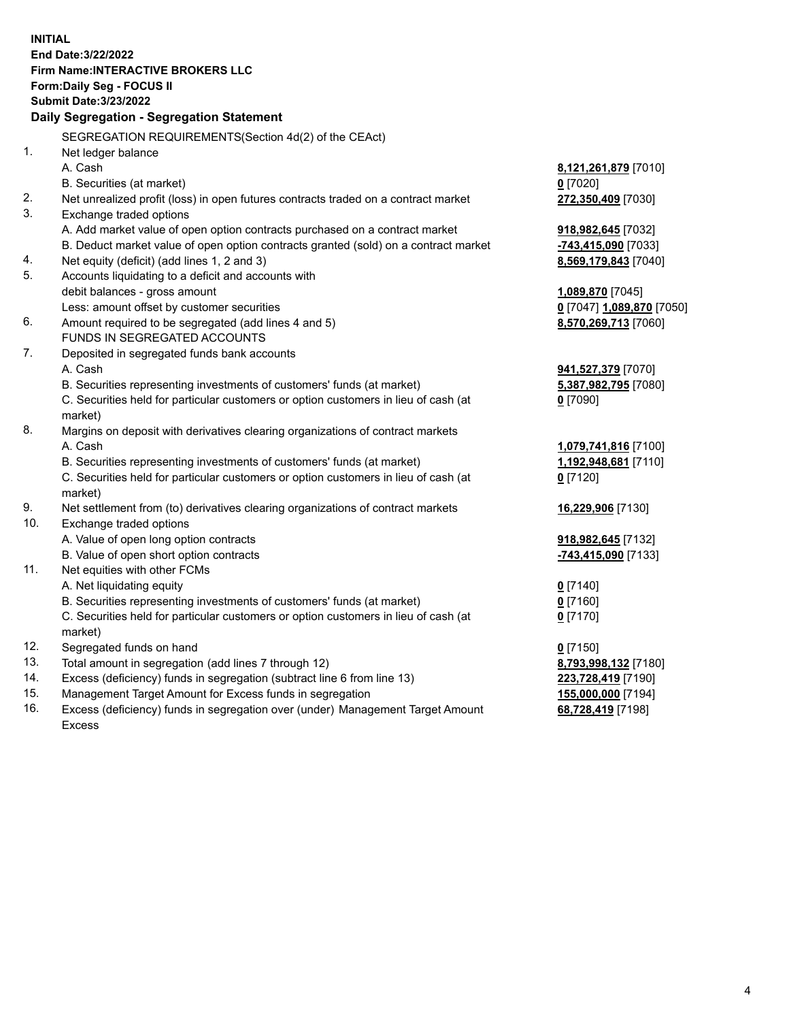**INITIAL End Date:3/22/2022 Firm Name:INTERACTIVE BROKERS LLC Form:Daily Seg - FOCUS II Submit Date:3/23/2022 Daily Segregation - Segregation Statement** SEGREGATION REQUIREMENTS(Section 4d(2) of the CEAct) 1. Net ledger balance A. Cash **8,121,261,879** [7010] B. Securities (at market) **0** [7020] 2. Net unrealized profit (loss) in open futures contracts traded on a contract market **272,350,409** [7030] 3. Exchange traded options A. Add market value of open option contracts purchased on a contract market **918,982,645** [7032] B. Deduct market value of open option contracts granted (sold) on a contract market **-743,415,090** [7033] 4. Net equity (deficit) (add lines 1, 2 and 3) **8,569,179,843** [7040] 5. Accounts liquidating to a deficit and accounts with debit balances - gross amount **1,089,870** [7045] Less: amount offset by customer securities **0** [7047] **1,089,870** [7050] 6. Amount required to be segregated (add lines 4 and 5) **8,570,269,713** [7060] FUNDS IN SEGREGATED ACCOUNTS 7. Deposited in segregated funds bank accounts A. Cash **941,527,379** [7070] B. Securities representing investments of customers' funds (at market) **5,387,982,795** [7080] C. Securities held for particular customers or option customers in lieu of cash (at market) **0** [7090] 8. Margins on deposit with derivatives clearing organizations of contract markets A. Cash **1,079,741,816** [7100] B. Securities representing investments of customers' funds (at market) **1,192,948,681** [7110] C. Securities held for particular customers or option customers in lieu of cash (at market) **0** [7120] 9. Net settlement from (to) derivatives clearing organizations of contract markets **16,229,906** [7130] 10. Exchange traded options A. Value of open long option contracts **918,982,645** [7132] B. Value of open short option contracts **-743,415,090** [7133] 11. Net equities with other FCMs A. Net liquidating equity **0** [7140] B. Securities representing investments of customers' funds (at market) **0** [7160] C. Securities held for particular customers or option customers in lieu of cash (at market) **0** [7170] 12. Segregated funds on hand **0** [7150] 13. Total amount in segregation (add lines 7 through 12) **8,793,998,132** [7180] 14. Excess (deficiency) funds in segregation (subtract line 6 from line 13) **223,728,419** [7190] 15. Management Target Amount for Excess funds in segregation **155,000,000** [7194] 16. Excess (deficiency) funds in segregation over (under) Management Target Amount Excess **68,728,419** [7198]